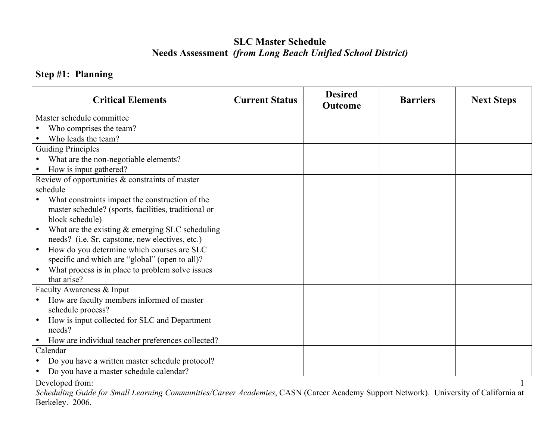## **SLC Master Schedule Needs Assessment** *(from Long Beach Unified School District)*

### **Step #1: Planning**

| <b>Critical Elements</b>                             | <b>Current Status</b> | <b>Desired</b><br><b>Outcome</b> | <b>Barriers</b> | <b>Next Steps</b> |
|------------------------------------------------------|-----------------------|----------------------------------|-----------------|-------------------|
| Master schedule committee                            |                       |                                  |                 |                   |
| Who comprises the team?                              |                       |                                  |                 |                   |
| Who leads the team?                                  |                       |                                  |                 |                   |
| <b>Guiding Principles</b>                            |                       |                                  |                 |                   |
| What are the non-negotiable elements?                |                       |                                  |                 |                   |
| How is input gathered?                               |                       |                                  |                 |                   |
| Review of opportunities & constraints of master      |                       |                                  |                 |                   |
| schedule                                             |                       |                                  |                 |                   |
| What constraints impact the construction of the      |                       |                                  |                 |                   |
| master schedule? (sports, facilities, traditional or |                       |                                  |                 |                   |
| block schedule)                                      |                       |                                  |                 |                   |
| What are the existing $\&$ emerging SLC scheduling   |                       |                                  |                 |                   |
| needs? (i.e. Sr. capstone, new electives, etc.)      |                       |                                  |                 |                   |
| How do you determine which courses are SLC           |                       |                                  |                 |                   |
| specific and which are "global" (open to all)?       |                       |                                  |                 |                   |
| What process is in place to problem solve issues     |                       |                                  |                 |                   |
| that arise?                                          |                       |                                  |                 |                   |
| Faculty Awareness & Input                            |                       |                                  |                 |                   |
| How are faculty members informed of master           |                       |                                  |                 |                   |
| schedule process?                                    |                       |                                  |                 |                   |
| How is input collected for SLC and Department        |                       |                                  |                 |                   |
| needs?                                               |                       |                                  |                 |                   |
| How are individual teacher preferences collected?    |                       |                                  |                 |                   |
| Calendar                                             |                       |                                  |                 |                   |
| Do you have a written master schedule protocol?      |                       |                                  |                 |                   |
| Do you have a master schedule calendar?              |                       |                                  |                 |                   |

Developed from:

*Scheduling Guide for Small Learning Communities/Career Academies*, CASN (Career Academy Support Network). University of California at Berkeley. 2006.

1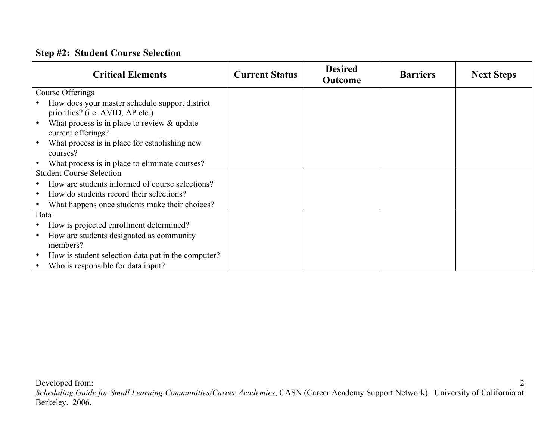### **Step #2: Student Course Selection**

|      | <b>Critical Elements</b>                                                           | <b>Current Status</b> | <b>Desired</b><br><b>Outcome</b> | <b>Barriers</b> | <b>Next Steps</b> |
|------|------------------------------------------------------------------------------------|-----------------------|----------------------------------|-----------------|-------------------|
|      | Course Offerings                                                                   |                       |                                  |                 |                   |
|      | How does your master schedule support district<br>priorities? (i.e. AVID, AP etc.) |                       |                                  |                 |                   |
|      | What process is in place to review $\&$ update<br>current offerings?               |                       |                                  |                 |                   |
|      | What process is in place for establishing new<br>courses?                          |                       |                                  |                 |                   |
|      | What process is in place to eliminate courses?                                     |                       |                                  |                 |                   |
|      | <b>Student Course Selection</b>                                                    |                       |                                  |                 |                   |
|      | How are students informed of course selections?                                    |                       |                                  |                 |                   |
|      | How do students record their selections?                                           |                       |                                  |                 |                   |
|      | What happens once students make their choices?                                     |                       |                                  |                 |                   |
| Data |                                                                                    |                       |                                  |                 |                   |
|      | How is projected enrollment determined?                                            |                       |                                  |                 |                   |
|      | How are students designated as community<br>members?                               |                       |                                  |                 |                   |
|      | How is student selection data put in the computer?                                 |                       |                                  |                 |                   |
|      | Who is responsible for data input?                                                 |                       |                                  |                 |                   |

Developed from: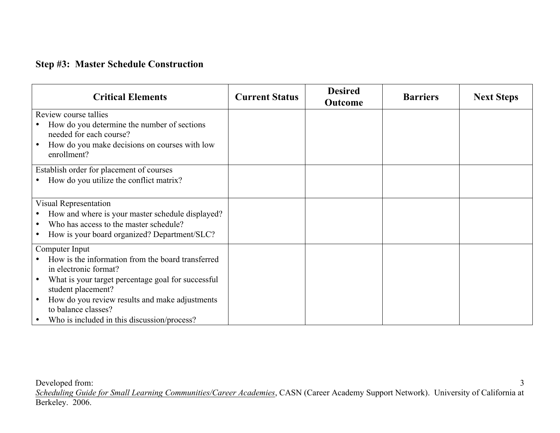### **Step #3: Master Schedule Construction**

| <b>Critical Elements</b>                                      | <b>Current Status</b> | <b>Desired</b><br><b>Outcome</b> | <b>Barriers</b> | <b>Next Steps</b> |
|---------------------------------------------------------------|-----------------------|----------------------------------|-----------------|-------------------|
| Review course tallies                                         |                       |                                  |                 |                   |
| How do you determine the number of sections                   |                       |                                  |                 |                   |
| needed for each course?                                       |                       |                                  |                 |                   |
| How do you make decisions on courses with low                 |                       |                                  |                 |                   |
| enrollment?                                                   |                       |                                  |                 |                   |
| Establish order for placement of courses                      |                       |                                  |                 |                   |
| How do you utilize the conflict matrix?                       |                       |                                  |                 |                   |
|                                                               |                       |                                  |                 |                   |
| Visual Representation                                         |                       |                                  |                 |                   |
| How and where is your master schedule displayed?<br>$\bullet$ |                       |                                  |                 |                   |
| Who has access to the master schedule?<br>$\bullet$           |                       |                                  |                 |                   |
| How is your board organized? Department/SLC?<br>$\bullet$     |                       |                                  |                 |                   |
| Computer Input                                                |                       |                                  |                 |                   |
| How is the information from the board transferred             |                       |                                  |                 |                   |
| in electronic format?                                         |                       |                                  |                 |                   |
| What is your target percentage goal for successful            |                       |                                  |                 |                   |
| student placement?                                            |                       |                                  |                 |                   |
| How do you review results and make adjustments                |                       |                                  |                 |                   |
| to balance classes?                                           |                       |                                  |                 |                   |
| Who is included in this discussion/process?                   |                       |                                  |                 |                   |

Developed from: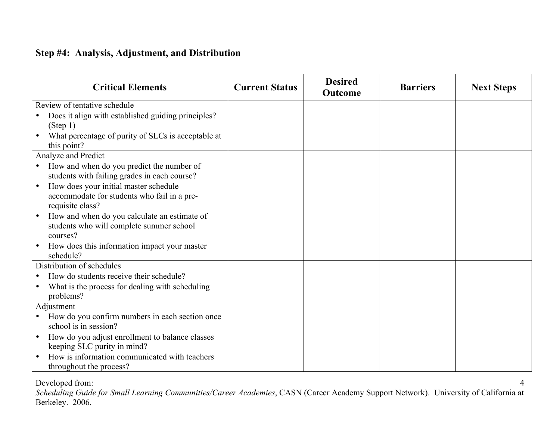### **Step #4: Analysis, Adjustment, and Distribution**

| <b>Critical Elements</b>                                  | <b>Current Status</b> | <b>Desired</b><br><b>Outcome</b> | <b>Barriers</b> | <b>Next Steps</b> |
|-----------------------------------------------------------|-----------------------|----------------------------------|-----------------|-------------------|
| Review of tentative schedule                              |                       |                                  |                 |                   |
| Does it align with established guiding principles?        |                       |                                  |                 |                   |
| (Step 1)                                                  |                       |                                  |                 |                   |
| What percentage of purity of SLCs is acceptable at        |                       |                                  |                 |                   |
| this point?                                               |                       |                                  |                 |                   |
| Analyze and Predict                                       |                       |                                  |                 |                   |
| How and when do you predict the number of                 |                       |                                  |                 |                   |
| students with failing grades in each course?              |                       |                                  |                 |                   |
| How does your initial master schedule<br>$\bullet$        |                       |                                  |                 |                   |
| accommodate for students who fail in a pre-               |                       |                                  |                 |                   |
| requisite class?                                          |                       |                                  |                 |                   |
| How and when do you calculate an estimate of              |                       |                                  |                 |                   |
| students who will complete summer school                  |                       |                                  |                 |                   |
| courses?                                                  |                       |                                  |                 |                   |
| How does this information impact your master<br>$\bullet$ |                       |                                  |                 |                   |
| schedule?                                                 |                       |                                  |                 |                   |
| Distribution of schedules                                 |                       |                                  |                 |                   |
| How do students receive their schedule?                   |                       |                                  |                 |                   |
| What is the process for dealing with scheduling           |                       |                                  |                 |                   |
| problems?                                                 |                       |                                  |                 |                   |
| Adjustment                                                |                       |                                  |                 |                   |
| How do you confirm numbers in each section once           |                       |                                  |                 |                   |
| school is in session?                                     |                       |                                  |                 |                   |
| How do you adjust enrollment to balance classes<br>٠      |                       |                                  |                 |                   |
| keeping SLC purity in mind?                               |                       |                                  |                 |                   |
| How is information communicated with teachers             |                       |                                  |                 |                   |
| throughout the process?                                   |                       |                                  |                 |                   |

Developed from: